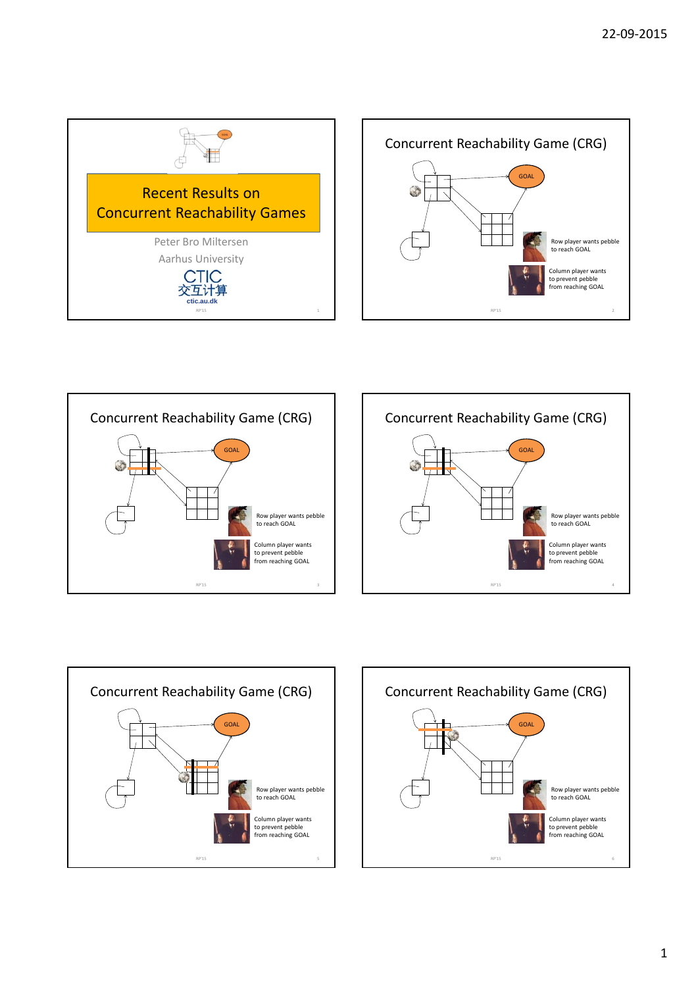









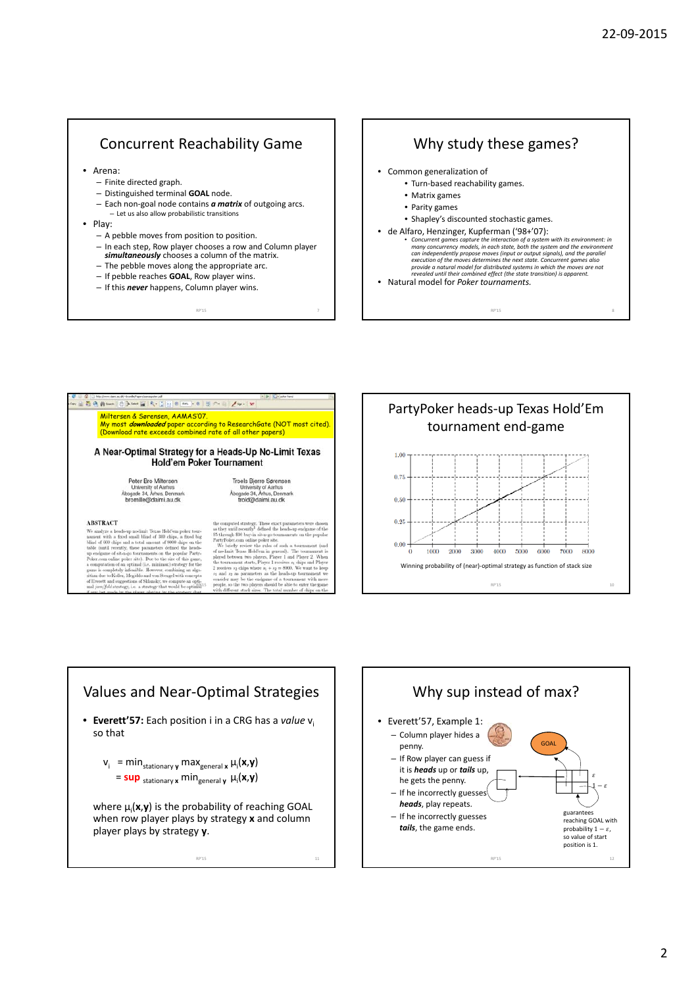#### Concurrent Reachability Game

- Arena:
	- Finite directed graph.
	- Distinguished terminal **GOAL** node.
	- Each non‐goal node contains *a matrix* of outgoing arcs. – Let us also allow probabilistic transitions
- Play:
	- A pebble moves from position to position.
	- In each step, Row player chooses a row and Column player
	- *simultaneously* chooses a column of the matrix.
	- The pebble moves along the appropriate arc.
	- If pebble reaches **GOAL**, Row player wins.
	- If this *never* happens, Column player wins.

# Why study these games?

- Common generalization of • Turn‐based reachability games.
	-
	- Matrix games • Parity games
	-
	- Shapley's discounted stochastic games.
- de Alfaro, Henzinger, Kupferman ('98+'07):<br>
 Concurrent games capture the interaction of a system with its environment: in<br>
many concurrency models, in each state, both the system and the environment<br>
can independently

 $RP'15$ 

• Natural model for *Poker tournaments.*

 $\exists \begin{array}{l} \overline{\bullet} \end{array} \bigoplus \begin{array}{l} \bullet \end{array} \bigoplus \begin{array}{l} \bullet \end{array} \bigoplus \begin{array}{l} \bullet \end{array} \bigoplus \begin{array}{l} \bullet \end{array} \bigoplus \begin{array}{l} \bullet \end{array} \bigoplus \begin{array}{l} \bullet \end{array} \bigoplus \begin{array}{l} \bullet \end{array} \bigoplus \begin{array}{l} \bullet \end{array} \bigoplus \begin{array}{l} \bullet \end{array} \bigoplus \begin{array}{l} \bullet \end{array} \bigoplus \begin{array}{l} \bullet \end{array} \big$ Miltersen & Sørensen, AAMAS'07.<br>Wy most *downloaded* paper according to ResearchGate (NOT most cited). (Download rate exceeds combined rate of all other papers) A Near-Optimal Strategy for a Heads-Up No-Limit Texas Hold'em Poker Tournament Peter Bro Miltersen<br>University of Aarhus<br>Abogade 34, Arhus, Denmar<br>bromille@daimi.au.dk Troels Bjerre Sørensen<br>University of Aarhus<br>Åbogade 34, Århus, Denmar<br>trold@daimi.au.dk

#### **ARSTRACT**

NES analyze a heads-up no-limit Texas Hold'em poker tournant with a fixed small blind of 300 chips, a fixed bind of 600 chips and a total amount of 8000 chips on the f 300 chips,<br>int of 8000 s of 8000 chips on the<br>defined the heads<br>a the popular Party<br>he size of this game tore cups and a total amount<br>mtil recently, these parameters<br>ame of sit-n-go tournaments or<br>on online reduc site). Due to th ....<br>W.R egy, i. tegy the

ategy. These exact para<br>ntly<sup>1</sup> defined the heads

RP'15 7

as they until recently" defined the heads-up endgame of the  $\$5$  through  $\$50$  buysin  $\sin\log\log$  rournaments on the popular PartyPoler com online poler site. m onume power suc.<br>xas Hold'em in general). The<br>n two players, Player 1 and P1<br>nt starts, Player 1 receives s<sub>1</sub> chi wo player<br>tarts, Pla ves so chips wh  $= 8000$ . We want to kee ers should be able to<br>ses. The total number





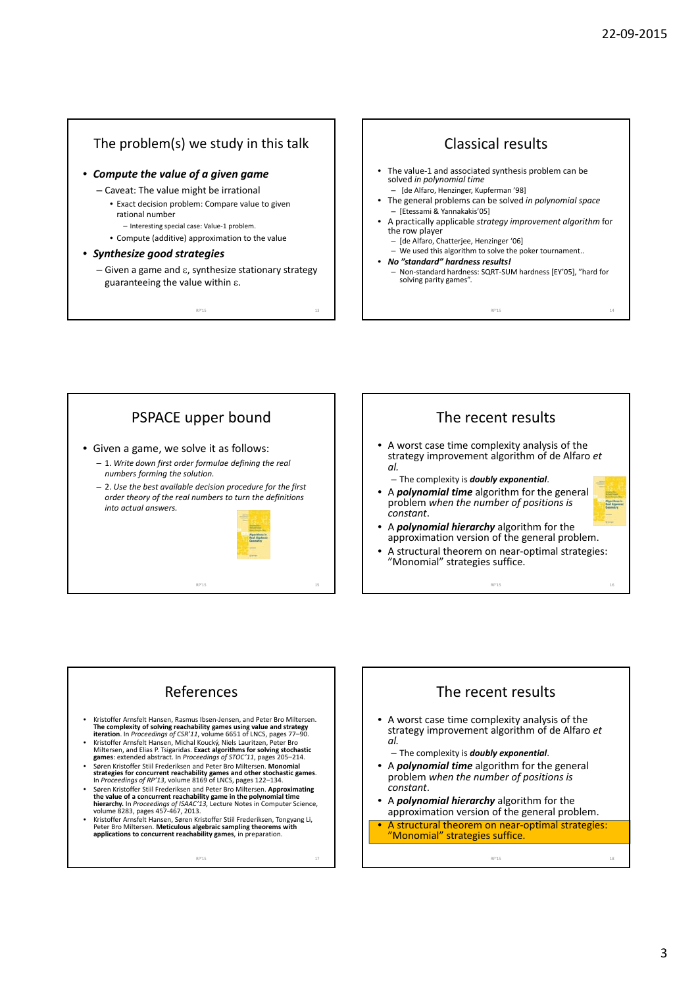#### The problem(s) we study in this talk

- *Compute the value of a given game*
	- Caveat: The value might be irrational
		- Exact decision problem: Compare value to given rational number
			- Interesting special case: Value‐1 problem.
		- Compute (additive) approximation to the value
- *Synthesize good strategies*
	- $-$  Given a game and  $\varepsilon$ , synthesize stationary strategy guaranteeing the value within  $\varepsilon$ .

 $RP'15$  13

Classical results The value-1 and associated synthesis problem can be solved *in polynomial time* – [de Alfaro, Henzinger, Kupferman '98] • The general problems can be solved *in polynomial space* – [Etessami & Yannakakis'05] • A practically applicable *strategy improvement algorithm* for the row player – [de Alfaro, Chatterjee, Henzinger '06] – We used this algorithm to solve the poker tournament.. • *No "standard" hardness results!* – Non‐standard hardness: SQRT‐SUM hardness [EY'05], "hard for solving parity games".

RP'15 14

PSPACE upper bound The recent results • A worst case time complexity analysis of the • Given a game, we solve it as follows: strategy improvement algorithm of de Alfaro *et* – 1. *Write down first order formulae defining the real al. numbers forming the solution.* – The complexity is *doubly exponential*. – 2. *Use the best available decision procedure for the first* • A *polynomial time* algorithm for the general *order theory of the real numbers to turn the definitions* problem *when the number of positions is* **Algorithmu in<br>Real Algebray**<br>Geometry *into actual answers. constant*. • A *polynomial hierarchy* algorithm for the approximation version of the general problem. • A structural theorem on near‐optimal strategies: "Monomial" strategies suffice.  $RP'15$  15 RP'15 16

#### References

- Kristoffer Arnsfelt Hansen, Rasmus Ibsen-Jensen, and Peter Bro Miltersen.<br>The complexity of solving reachability games using value and strategy<br>iteration. In Proceedings of CSR'11, volume 6651 of LNCS, pages 77–90.
- **NET ACCOMPTS AND SET AND SET AND SET AND SET AND SET AND SET AND SET ANOTHER SET AND SET AND SET AND SET AND SET AND SET AND SET AND SET AND SET AND SET AND SET AND SET AND SET AND SET AND SET AND SET AND SET AND SET AND**
- games. Extended absolute. In The containing by 1970 C 11, pages 200 214.<br>Spen Kristoffer Still Frederiksen and Peter Bro Miltersen. Monomial<br>strategies for concurrent reachability games and other stochastic games.<br>In Proce
- Søren Kristoffer Stiil Frederiksen and Peter Bro Miltersen. Approximating<br>the value of a concurrent reachability game in the polynomial time<br>hierarchy. In Proceedings of JSAAC'13, Lecture Notes in Computer Science,<br>volum
- VOIUTHE 6200, pages 407-407, 2010.<br>Kristoffer Arnsfelt Hansen, Søren Kristoffer Still Frederiksen, Tongyang Li,<br>Peter Bro Miltersen. Meticulous algebraic sampling theorems with<br>applications to concurrent reachability games

RP'15 17

## The recent results

- A worst case time complexity analysis of the strategy improvement algorithm of de Alfaro *et al.*
	- The complexity is *doubly exponential*.
- A *polynomial time* algorithm for the general problem *when the number of positions is constant*.
- A *polynomial hierarchy* algorithm for the approximation version of the general problem.
- A structural theorem on near-optimal strategies: "Monomial" strategies suffice.

RP'15 18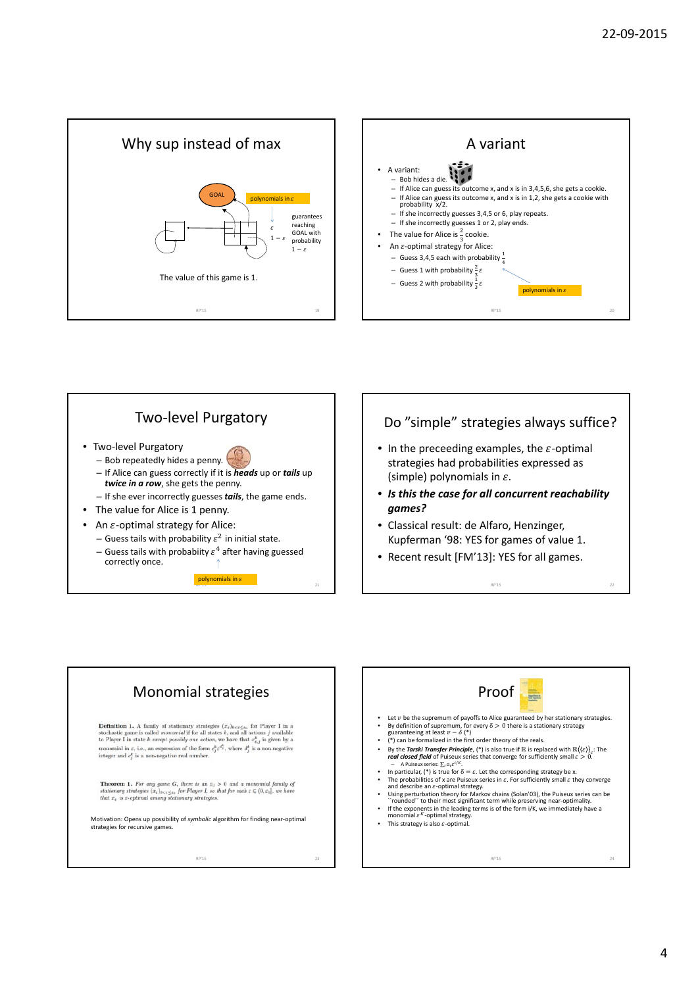







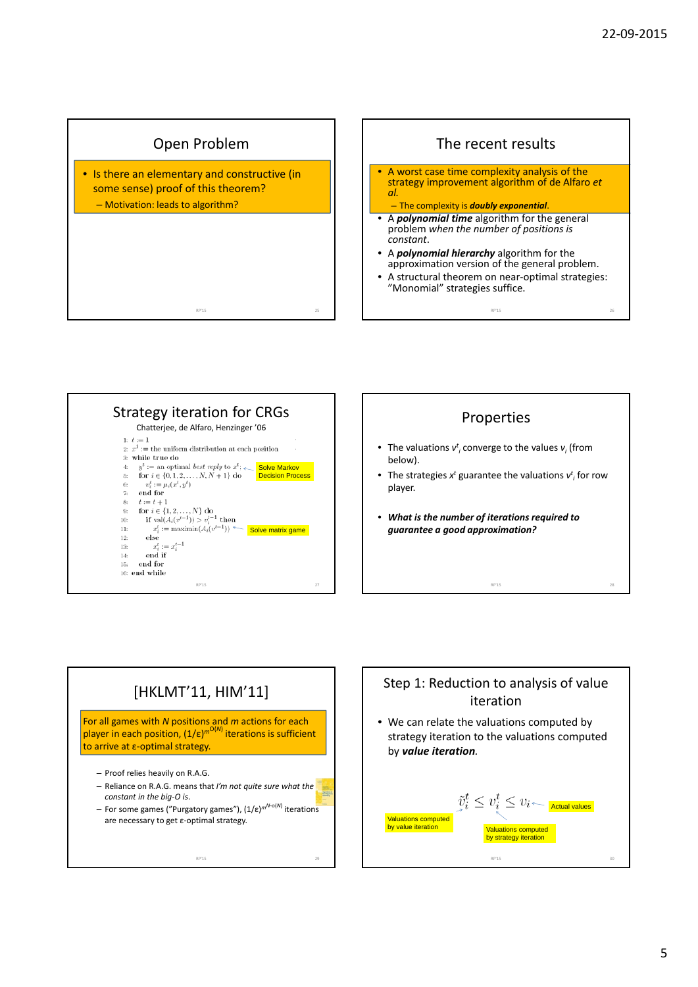









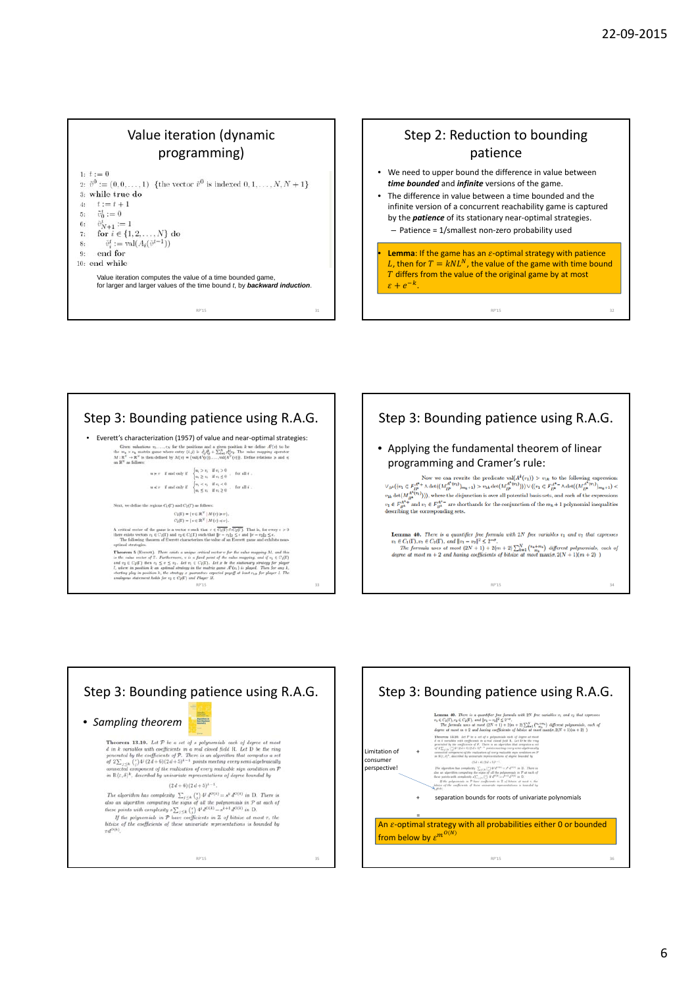#### Value iteration (dynamic programming)

|    | $1 \cdot t := 0$                                                                                      |
|----|-------------------------------------------------------------------------------------------------------|
|    | 2: $\tilde{v}^0 := (0, 0, \ldots, 1)$ {the vector $\tilde{v}^0$ is indexed $0, 1, \ldots, N, N + 1$ } |
|    | $3:$ while true do                                                                                    |
|    | 4: $t := t + 1$                                                                                       |
|    | 5: $\vec{v}_0^t := 0$                                                                                 |
|    | 6: $\tilde{v}_{N+1}^t := 1$                                                                           |
|    | 7: for $i \in \{1, 2, , N\}$ do                                                                       |
|    | 8: $\tilde{v}_i^t := \text{val}(A_i(\tilde{v}^{t-1}))$                                                |
| 9: | end for                                                                                               |
|    | $10:$ end while                                                                                       |
|    | Value iteration computes the value of a time bounded game,                                            |
|    | for larger and larger values of the time bound t, by <b>backward induction</b> .                      |
|    |                                                                                                       |
|    |                                                                                                       |

RP'15 31



- We need to upper bound the difference in value between *time bounded* and *infinite* versions of the game.
- The difference in value between a time bounded and the infinite version of a concurrent reachability game is captured by the *patience* of its stationary near‐optimal strategies.
	- Patience = 1/smallest non‐zero probability used
- **Lemma**: If the game has an  $\varepsilon$ -optimal strategy with patience L, then for  $T = kNL^N$ , the value of the game with time bound  $T$  differs from the value of the original game by at most  $\varepsilon + e^{-k}$ .

RP'15 32

### Step 3: Bounding patience using R.A.G. • Everett's characterization (1957) of value and near-optimal strategies:<br>
tion makes an interaction and a given position  $k$  we dent  $R(s)$  to be<br>
the  $m_k \times n_k$  matrix gase where entry  $(k,j)$  is  $k_j^k \phi_k = \sum_{k=1}^N m_k^k m_k$ . T  $u \succcurlyeq v \quad \text{if and only if} \quad \begin{cases} u_i > v_i & \text{if } v_i > 0 \\ u_i \geq v_i & \text{if } v_i \leq 0 \end{cases} \quad \text{for all } i \ .$  $\label{eq:u} u\preccurlyeq v\quad \text{if and only if}\quad \begin{cases} u_t < v_t & \text{if } v_t < 0 \\ u_t \leq v_t & \text{if } v_t \geq 0 \end{cases}, \quad \text{for all } t\ .$ Next, we define the regions  $C_1(\Gamma)$  and  $C_2(\Gamma)$  as follows.  $\begin{split} C_1(\Gamma) &= \{v \in \mathbb{R}^N \mid M(v) \geqslant v\}, \\ C_2(\Gamma) &= \{v \in \mathbb{R}^N \mid M(v) \leqslant v\}. \end{split}$  $C_2(\Gamma) = \{v \in \mathbb{R}^N \mid M(v) \preccurlyeq v\}.$  A critical vector of the game is a vector<br> $v$  such that  $v \in C_1(\Gamma) \cap \overline{C_2(\Gamma)}.$  That is, for every<br> $e > 0$  there exists vectors  $v_i \in C_1(\Gamma)$  and<br> $v_2 \in C_2(\Gamma)$  such that  $\|\mathbf{r} - v_2\|_2$ optimal strategies. There exists a unique critical vector  $v$  for the salar magnitude of the scalar strategies of the scalar strategies of the scalar scalar scalar scalar scalar scalar scalar scalar scalar scalar scalar s





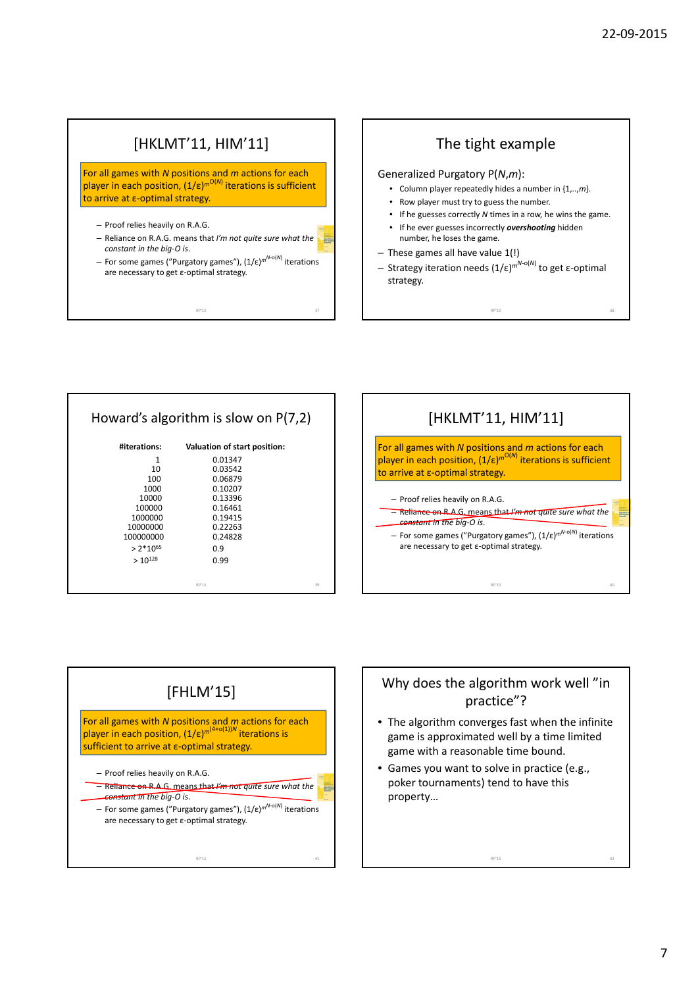### [HKLMT'11, HIM'11]

For all games with *N* positions and *m* actions for each player in each position, (1/ε)<sup>*m*O(*N*)</sup> iterations is sufficient to arrive at ε‐optimal strategy.

- Proof relies heavily on R.A.G.
- Reliance on R.A.G. means that *I'm not quite sure what the constant in the big‐O is*.

RP'15 37

– For some games ("Purgatory games"), (1/ε)*mN*‐o(*N*) iterations are necessary to get ε‐optimal strategy.

#### The tight example

Generalized Purgatory P(*N*,*m*):

- Column player repeatedly hides a number in {1,..,*m*}.
- Row player must try to guess the number.
- If he guesses correctly *N* times in a row, he wins the game.
- If he ever guesses incorrectly *overshooting* hidden number, he loses the game.
- These games all have value 1(!)
- Strategy iteration needs (1/ε) *mN*‐o(*N*) to get ε‐optimal strategy.

RP'15 38

#### Howard's algorithm is slow on P(7,2)

| #iterations:  | Valuation of start position: |    |
|---------------|------------------------------|----|
| 1             | 0.01347                      |    |
| 10            | 0.03542                      |    |
| 100           | 0.06879                      |    |
| 1000          | 0.10207                      |    |
| 10000         | 0.13396                      |    |
| 100000        | 0.16461                      |    |
| 1000000       | 0.19415                      |    |
| 10000000      | 0.22263                      |    |
| 100000000     | 0.24828                      |    |
| $> 2*10^{65}$ | 0.9                          |    |
| $>10^{128}$   | 0.99                         |    |
|               |                              |    |
|               | RP'15                        | 30 |





#### Why does the algorithm work well "in practice"?

• The algorithm converges fast when the infinite game is approximated well by a time limited game with a reasonable time bound.

RP'15 42

• Games you want to solve in practice (e.g., poker tournaments) tend to have this property…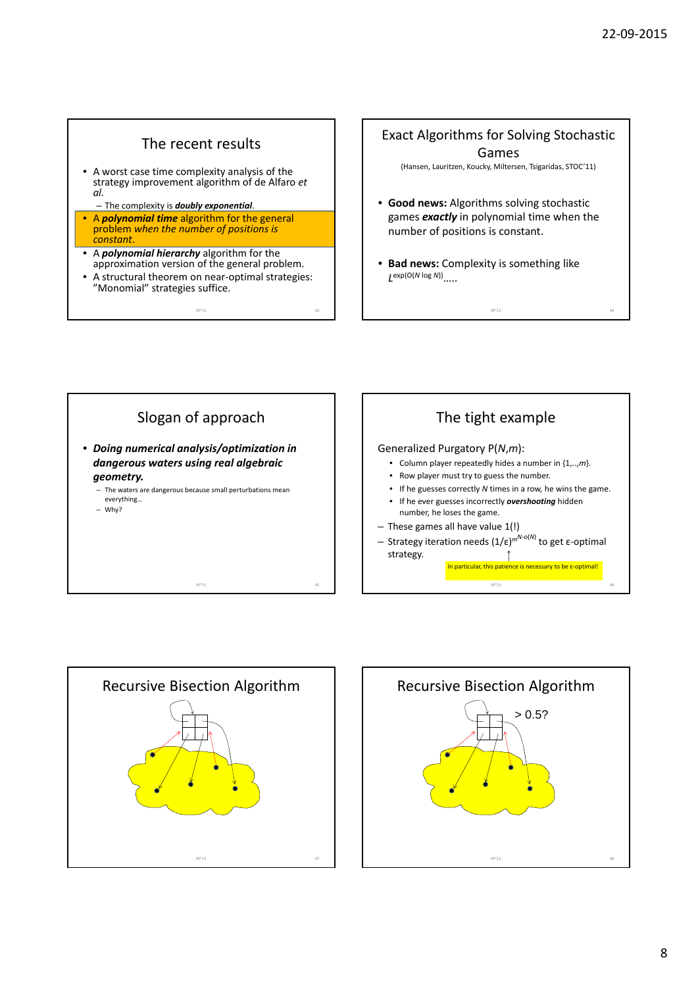#### The recent results

- A worst case time complexity analysis of the strategy improvement algorithm of de Alfaro *et al.*
	- The complexity is *doubly exponential*.
- A *polynomial time* algorithm for the general problem *when the number of positions is constant*.
- A *polynomial hierarchy* algorithm for the approximation version of the general problem.
- A structural theorem on near‐optimal strategies: "Monomial" strategies suffice.

RP'15 43

#### Exact Algorithms for Solving Stochastic Games

(Hansen, Lauritzen, Koucky, Miltersen, Tsigaridas, STOC'11)

- **Good news:** Algorithms solving stochastic games *exactly* in polynomial time when the number of positions is constant.
- **Bad news:** Complexity is something like *L*exp(O(*<sup>N</sup>* log *<sup>N</sup>*))…..

RP'15 44





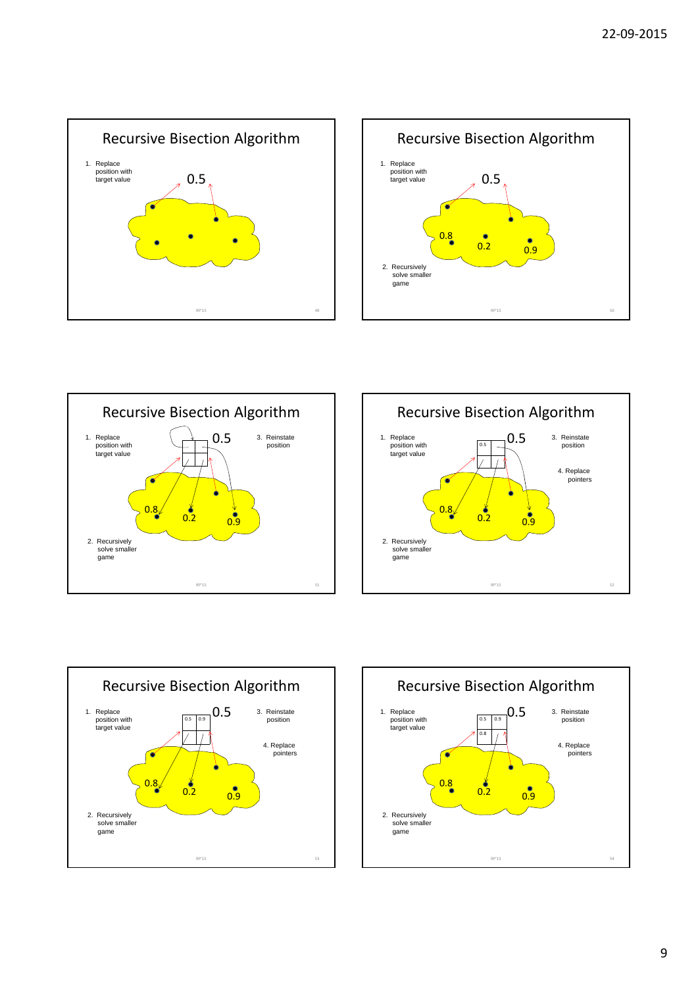









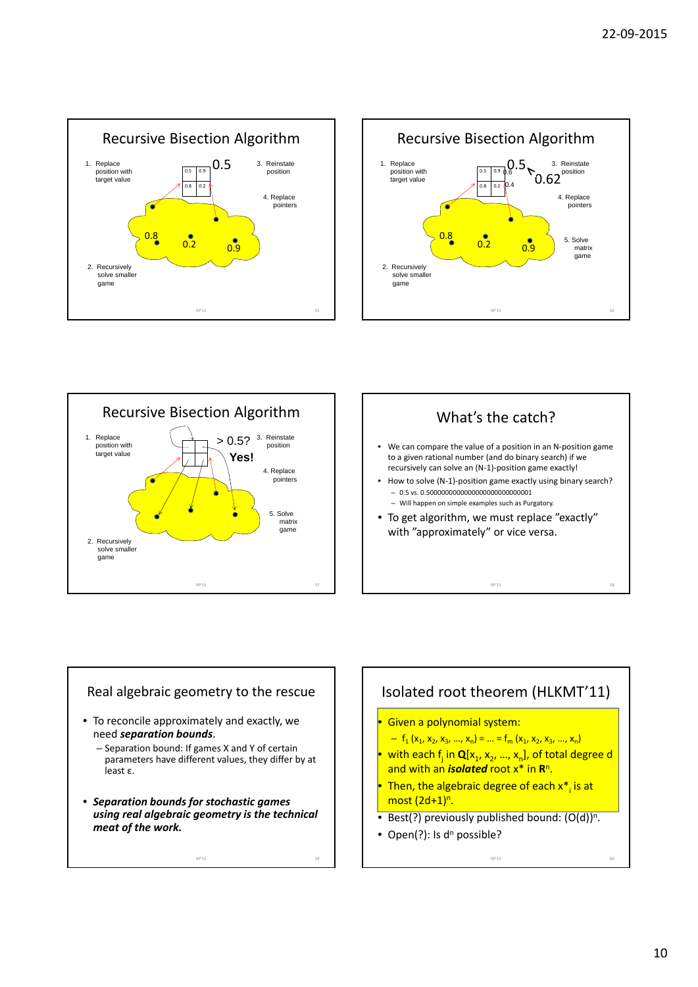







#### Real algebraic geometry to the rescue

- To reconcile approximately and exactly, we need *separation bounds*.
	- Separation bound: If games X and Y of certain parameters have different values, they differ by at least ε.
- *Separation bounds for stochastic games using real algebraic geometry is the technical meat of the work.*

RP'15 59

#### Isolated root theorem (HLKMT'11)

- Given a polynomial system:
- $f_1 (x_1, x_2, x_3, ..., x_n) = ... = f_m (x_1, x_2, x_3, ..., x_n)$
- with each  $f_i$  in  $\mathbf{Q}[x_1, x_2, ..., x_n]$ , of total degree d and with an *isolated* root x\* in **R**n.
- Then, the algebraic degree of each  $x^*$  is at most  $(2d+1)^n$ .
- Best(?) previously published bound:  $(O(d))^{n}$ .

RP'15 60

• Open(?): Is  $d^n$  possible?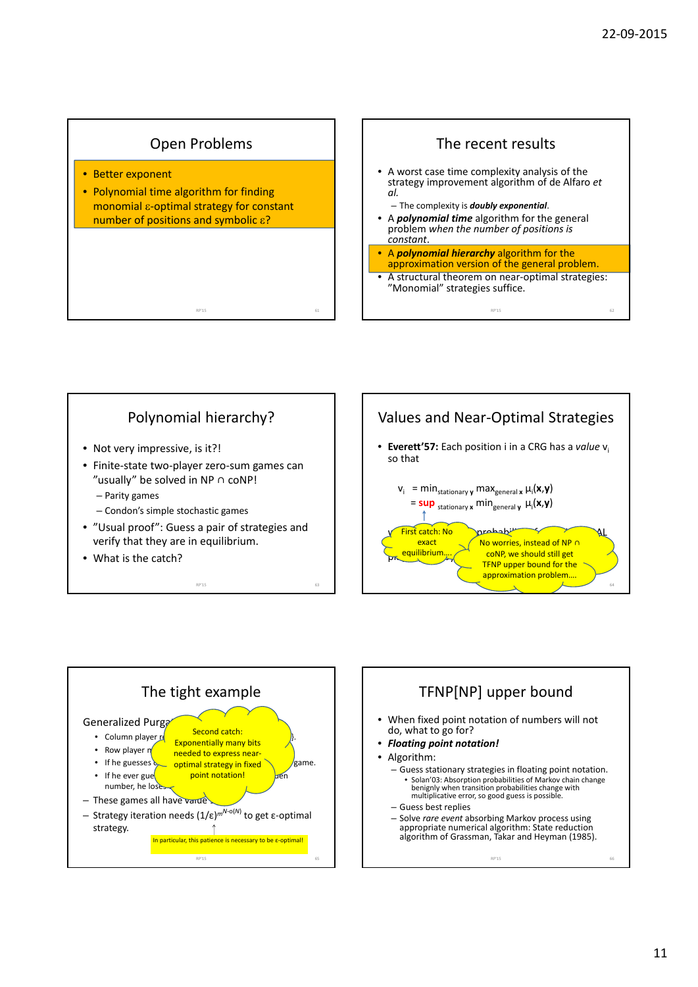#### Open Problems

RP'15 61

- Better exponent
- Polynomial time algorithm for finding monomial  $\varepsilon$ -optimal strategy for constant number of positions and symbolic  $\epsilon$ ?